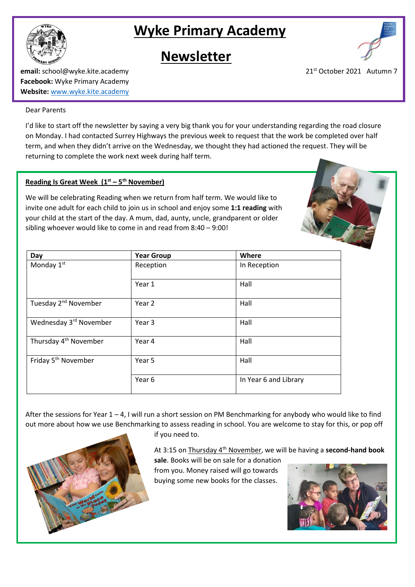

# **Wyke Primary Academy**

# **Newsletter**



**email:** school@wyke.kite.academy 21<sup>st</sup> October 2021 Autumn 7 **Facebook:** Wyke Primary Academy **Website:** [www.wyke.kite.academy](http://www.wyke.kite.academy/)

#### Dear Parents

I'd like to start off the newsletter by saying a very big thank you for your understanding regarding the road closure on Monday. I had contacted Surrey Highways the previous week to request that the work be completed over half term, and when they didn't arrive on the Wednesday, we thought they had actioned the request. They will be returning to complete the work next week during half term.

### **Reading Is Great Week (1st – 5 th November)**

We will be celebrating Reading when we return from half term. We would like to invite one adult for each child to join us in school and enjoy some **1:1 reading** with your child at the start of the day. A mum, dad, aunty, uncle, grandparent or older sibling whoever would like to come in and read from 8:40 – 9:00!

| Day                               | <b>Year Group</b> | Where                 |
|-----------------------------------|-------------------|-----------------------|
| Monday 1st                        | Reception         | In Reception          |
|                                   | Year 1            | Hall                  |
| Tuesday 2 <sup>nd</sup> November  | Year 2            | Hall                  |
| Wednesday 3rd November            | Year 3            | Hall                  |
| Thursday 4 <sup>th</sup> November | Year 4            | Hall                  |
| Friday 5 <sup>th</sup> November   | Year 5            | Hall                  |
|                                   | Year 6            | In Year 6 and Library |

After the sessions for Year 1 – 4, I will run a short session on PM Benchmarking for anybody who would like to find out more about how we use Benchmarking to assess reading in school. You are welcome to stay for this, or pop off



if you need to.

At 3:15 on Thursday 4th November, we will be having a **second-hand book** 

**sale**. Books will be on sale for a donation from you. Money raised will go towards buying some new books for the classes.

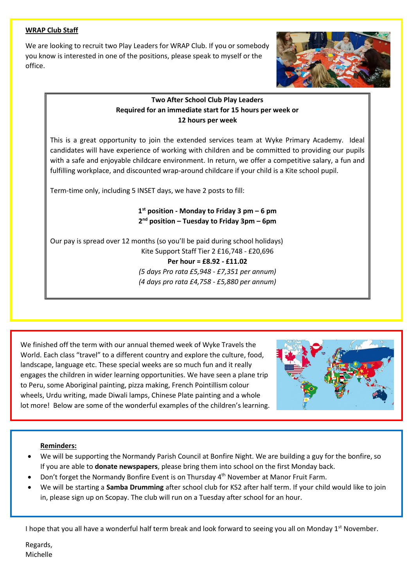#### **WRAP Club Staff**

We are looking to recruit two Play Leaders for WRAP Club. If you or somebody you know is interested in one of the positions, please speak to myself or the office.



## **Two After School Club Play Leaders Required for an immediate start for 15 hours per week or 12 hours per week**

This is a great opportunity to join the extended services team at Wyke Primary Academy. Ideal candidates will have experience of working with children and be committed to providing our pupils with a safe and enjoyable childcare environment. In return, we offer a competitive salary, a fun and fulfilling workplace, and discounted wrap-around childcare if your child is a Kite school pupil.

Term-time only, including 5 INSET days, we have 2 posts to fill:

**1 st position - Monday to Friday 3 pm – 6 pm 2 nd position – Tuesday to Friday 3pm – 6pm**

Our pay is spread over 12 months (so you'll be paid during school holidays) Kite Support Staff Tier 2 £16,748 - £20,696 **Per hour = £8.92 - £11.02**  *(5 days Pro rata £5,948 - £7,351 per annum) (4 days pro rata £4,758 - £5,880 per annum)*

We finished off the term with our annual themed week of Wyke Travels the World. Each class "travel" to a different country and explore the culture, food, landscape, language etc. These special weeks are so much fun and it really engages the children in wider learning opportunities. We have seen a plane trip to Peru, some Aboriginal painting, pizza making, French Pointillism colour wheels, Urdu writing, made Diwali lamps, Chinese Plate painting and a whole lot more! Below are some of the wonderful examples of the children's learning.



### **Reminders:**

- We will be supporting the Normandy Parish Council at Bonfire Night. We are building a guy for the bonfire, so If you are able to **donate newspapers**, please bring them into school on the first Monday back.
- Don't forget the Normandy Bonfire Event is on Thursday 4th November at Manor Fruit Farm.
- We will be starting a **Samba Drumming** after school club for KS2 after half term. If your child would like to join in, please sign up on Scopay. The club will run on a Tuesday after school for an hour.

I hope that you all have a wonderful half term break and look forward to seeing you all on Monday 1st November.

Regards, Michelle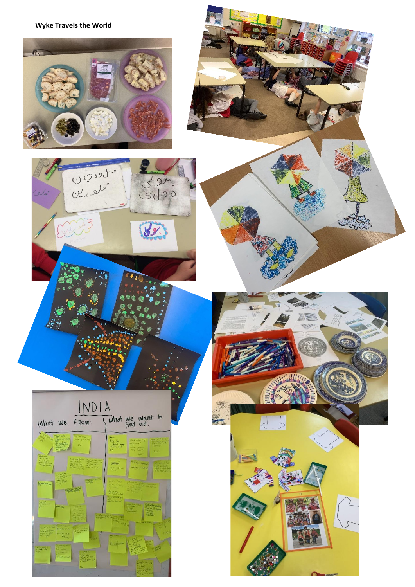